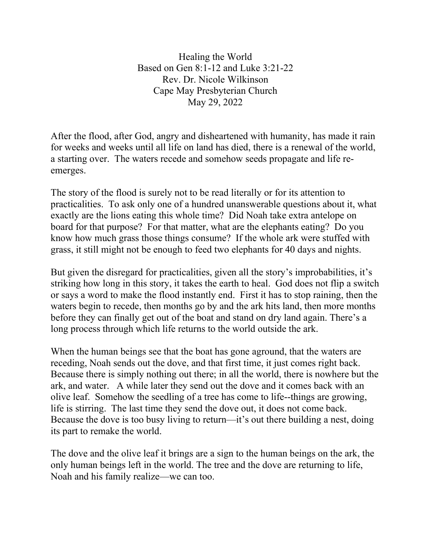Healing the World Based on Gen 8:1-12 and Luke 3:21-22 Rev. Dr. Nicole Wilkinson Cape May Presbyterian Church May 29, 2022

After the flood, after God, angry and disheartened with humanity, has made it rain for weeks and weeks until all life on land has died, there is a renewal of the world, a starting over. The waters recede and somehow seeds propagate and life reemerges.

The story of the flood is surely not to be read literally or for its attention to practicalities. To ask only one of a hundred unanswerable questions about it, what exactly are the lions eating this whole time? Did Noah take extra antelope on board for that purpose? For that matter, what are the elephants eating? Do you know how much grass those things consume? If the whole ark were stuffed with grass, it still might not be enough to feed two elephants for 40 days and nights.

But given the disregard for practicalities, given all the story's improbabilities, it's striking how long in this story, it takes the earth to heal. God does not flip a switch or says a word to make the flood instantly end. First it has to stop raining, then the waters begin to recede, then months go by and the ark hits land, then more months before they can finally get out of the boat and stand on dry land again. There's a long process through which life returns to the world outside the ark.

When the human beings see that the boat has gone aground, that the waters are receding, Noah sends out the dove, and that first time, it just comes right back. Because there is simply nothing out there; in all the world, there is nowhere but the ark, and water. A while later they send out the dove and it comes back with an olive leaf. Somehow the seedling of a tree has come to life--things are growing, life is stirring. The last time they send the dove out, it does not come back. Because the dove is too busy living to return—it's out there building a nest, doing its part to remake the world.

The dove and the olive leaf it brings are a sign to the human beings on the ark, the only human beings left in the world. The tree and the dove are returning to life, Noah and his family realize—we can too.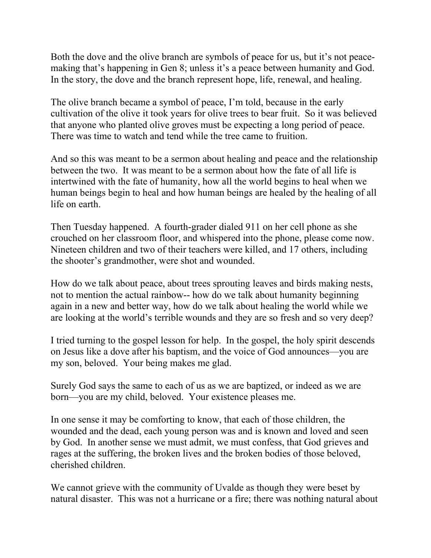Both the dove and the olive branch are symbols of peace for us, but it's not peacemaking that's happening in Gen 8; unless it's a peace between humanity and God. In the story, the dove and the branch represent hope, life, renewal, and healing.

The olive branch became a symbol of peace, I'm told, because in the early cultivation of the olive it took years for olive trees to bear fruit. So it was believed that anyone who planted olive groves must be expecting a long period of peace. There was time to watch and tend while the tree came to fruition.

And so this was meant to be a sermon about healing and peace and the relationship between the two. It was meant to be a sermon about how the fate of all life is intertwined with the fate of humanity, how all the world begins to heal when we human beings begin to heal and how human beings are healed by the healing of all life on earth.

Then Tuesday happened. A fourth-grader dialed 911 on her cell phone as she crouched on her classroom floor, and whispered into the phone, please come now. Nineteen children and two of their teachers were killed, and 17 others, including the shooter's grandmother, were shot and wounded.

How do we talk about peace, about trees sprouting leaves and birds making nests, not to mention the actual rainbow-- how do we talk about humanity beginning again in a new and better way, how do we talk about healing the world while we are looking at the world's terrible wounds and they are so fresh and so very deep?

I tried turning to the gospel lesson for help. In the gospel, the holy spirit descends on Jesus like a dove after his baptism, and the voice of God announces—you are my son, beloved. Your being makes me glad.

Surely God says the same to each of us as we are baptized, or indeed as we are born—you are my child, beloved. Your existence pleases me.

In one sense it may be comforting to know, that each of those children, the wounded and the dead, each young person was and is known and loved and seen by God. In another sense we must admit, we must confess, that God grieves and rages at the suffering, the broken lives and the broken bodies of those beloved, cherished children.

We cannot grieve with the community of Uvalde as though they were beset by natural disaster. This was not a hurricane or a fire; there was nothing natural about